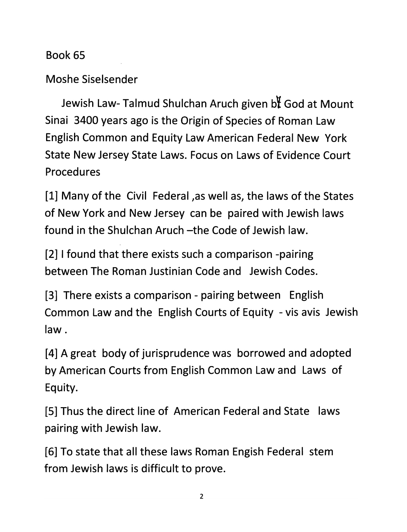## *Book 65*

*Moshe Siselsender*

*Jewish Law- Talmud Shulchan Aruch given b¥ God at Mount Sinai 3400 years ago is the Origin of Species of Roman Law English Common and Equity Law American Federal New York State New Jersey State Laws. Focus on Laws of Evidence Court Procedures*

*[1] Many of the Civil Federal ,as well as, the laws of the States of New York and New Jersey can be paired with Jewish laws found in the Shulchan Aruch -the Code of Jewish law.*

*[2] I found that there exists such a comparison -pairing between The Roman Justinian Code and Jewish Codes.*

*[3] There exists a comparison - pairing between English Common Law and the English Courts of Equity - vis avis Jewish law.*

*[4] A great body of jurisprudence was borrowed and adopted by American Courts from English Common Law and Laws of Equity.*

*[5] Thus the direct line of American Federal and State laws pairing with Jewish law.*

*[6] To state that all these laws Roman Engish Federal stem from Jewish laws is difficult to prove.*

 $\overline{2}$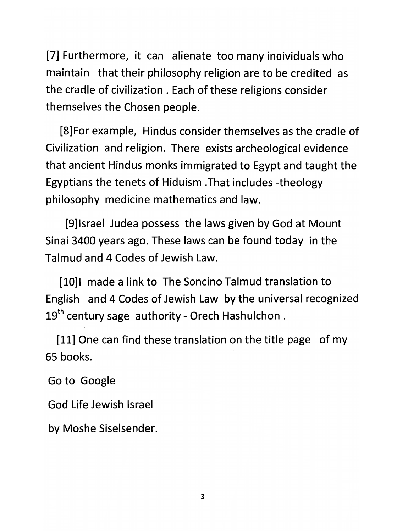*[7] Furthermore, it can alienate too many individuals who maintain that their philosophy religion are to be credited as the cradle of civilization . Each of these religions consider themselves the Chosen people.*

*[8]For example, Hindus consider themselves as the cradle of Civilization and religion. There exists archeological evidence that ancient Hindus monks immigrated to Egypt and taught the Egyptians the tenets of Hiduism That includes -theology philosophy medicine mathematics and law.*

*[9]lsrael Judea possess the laws given by God at Mount Sinai 3400 years ago. These laws can be found today in the Talmud and 4 Codes of Jewish Law.*

*[10]l made a link to The Soncino Talmud translation to English and 4 Codes of Jewish Law by the universal recognized 19th century sage authority - Orech Hashulchon .*

*[11] One can find these translation on the title page of my 65 books.*

*Goto Google*

*God Life Jewish Israel*

*by Moshe Siselsender.*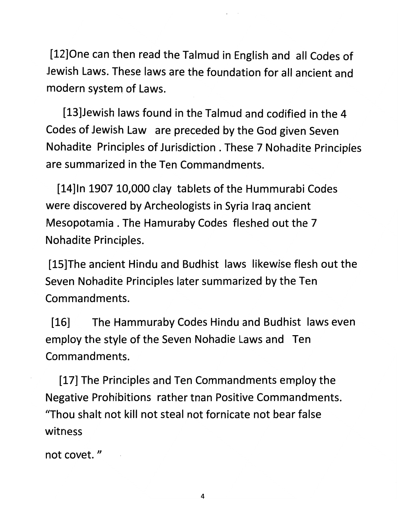*[12]0ne can then read the Talmud in English and all Codes of Jewish Laws. These laws are the foundation for all ancient and modern system of Laws.*

*[13]Jewish laws found in the Talmud and codified in the 4 Codes of Jewish Law are preceded by the God given Seven Nohadite Principles of Jurisdiction . These 7 Nohadite Principles are summarized in the Ten Commandments.*

*[14]ln 1907 10,000 clay tablets of the Hummurabi Codes were discovered by Archeologists in Syria Iraq ancient Mesopotamia . The Hamuraby Codes fleshed out the 7 Nohadite Principles.*

*[15]The ancient Hindu and Budhist laws likewise flesh out the Seven Nohadite Principles later summarized by the Ten Commandments.*

*[16] The Hammuraby Codes Hindu and Budhist laws even employ the style of the Seven Nohadie Laws and Ten Commandments.*

*[17] The Principles and Ten Commandments employ the Negative Prohibitions rather tnan Positive Commandments. "Thou shalt not kill not steal not fornicate not bear false witness*

*not covet."*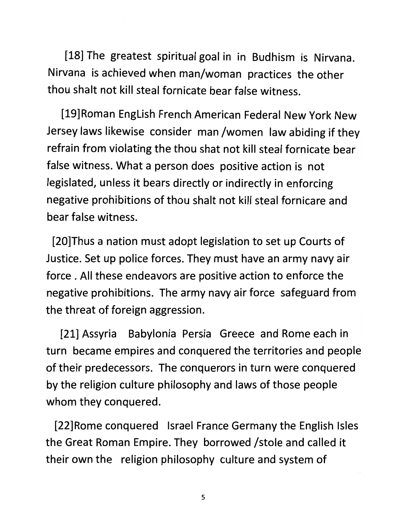*[18] The greatest spiritual goal in in Budhism is Nirvana. Nirvana is achieved when man/woman practices the other thou shalt not kill steal fornicate bear false witness.*

*[19]Roman EngLish French American Federal New York New Jersey laws likewise consider man/women law abiding if they refrain from violating the thou shat not kill steal fornicate bear false witness. What a person does positive action is not legislated, unless it bears directly or indirectly in enforcing negative prohibitions of thou shalt not kill steal fornicare and bear false witness.*

*[20]Thus a nation must adopt legislation to set up Courts of Justice. Set up police forces. They must have an army navy air force . All these endeavors are positive action to enforce the negative prohibitions. The army navy air force safeguard from the threat of foreign aggression.*

*[21] Assyria Babylonia Persia Greece and Rome each in turn became empires and conquered the territories and people of their predecessors. The conquerors in turn were conquered by the religion culture philosophy and laws of those people whom they conquered.*

*[22]Rome conquered Israel France Germany the English Isles the Great Roman Empire. They borrowed /stole and called it their own the religion philosophy culture and system of*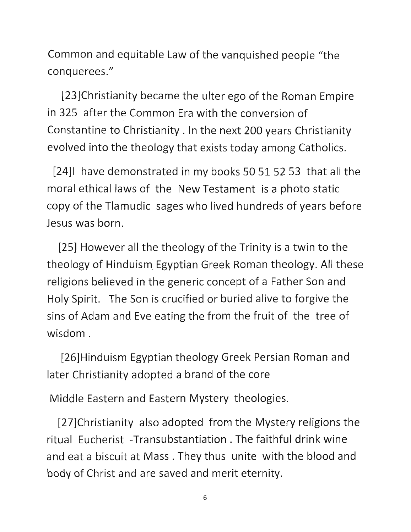Common and equitable Law of the vanquished people "the conquerees."

[23]Christianity became the ulter ego of the Roman Empire in 325 after the Common Era with the conversion of Constantine to Christianity . In the next 200 years Christianity evolved into the theology that exists today among Catholics.

[24]I have demonstrated in my books 50 51 52 53 that all the moral ethical laws of the New Testament is a photo static copy of the TIamudic sages who lived hundreds of years before Jesus was born.

[25] However all the theology of the Trinity is a twin to the theology of Hinduism Egyptian Greek Roman theology. All these religions believed in the generic concept of a Father Son and Holy Spirit. The Son is crucified or buried alive to forgive the sins of Adam and Eve eating the from the fruit of the tree of wisdom .

[26]Hinduism Egyptian theology Greek Persian Roman and later Christianity adopted a brand of the core

Middle Eastern and Eastern Mystery theologies.

[27]Christianity also adopted from the Mystery religions the ritual Eucherist -Transubstantiation . The faithful drink wine and eat a biscuit at Mass . They thus unite with the blood and body of Christ and are saved and merit eternity.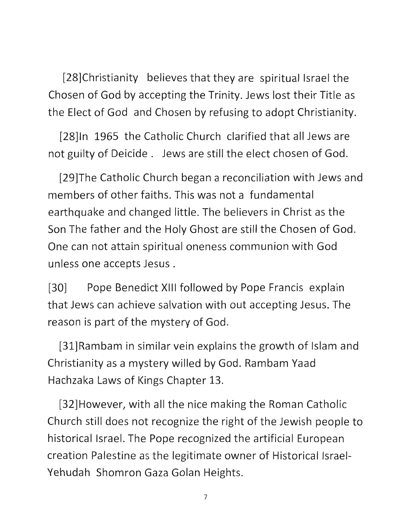[28]Christianity believes that they are spiritual Israel the Chosen of God by accepting the Trinity. Jews lost their Title as the Elect of God and Chosen by refusing to adopt Christianity.

[28]ln 1965 the Catholic Church clarified that all Jews are not guilty of Deicide . Jews are still the elect chosen of God.

[29]The Catholic Church began a reconciliation with Jews and members of other faiths. This was not a fundamental earthquake and changed little. The believers in Christ as the Son The father and the Holy Ghost are still the Chosen of God. One can not attain spiritual oneness communion with God unless one accepts Jesus .

[30] Pope Benedict XIII followed by Pope Francis explain that Jews can achieve salvation with out accepting Jesus. The reason is part of the mystery of God.

[31]Rambam in similar vein explains the growth of Islam and Christianity as a mystery willed by God. Rambam Yaad Hachzaka Laws of Kings Chapter 13.

[32]However, with all the nice making the Roman Catholic Church still does not recognize the right of the Jewish people to historical Israel. The Pope recognized the artificial European creation Palestine as the legitimate owner of Historical Israel-Yehudah Shomron Gaza Golan Heights.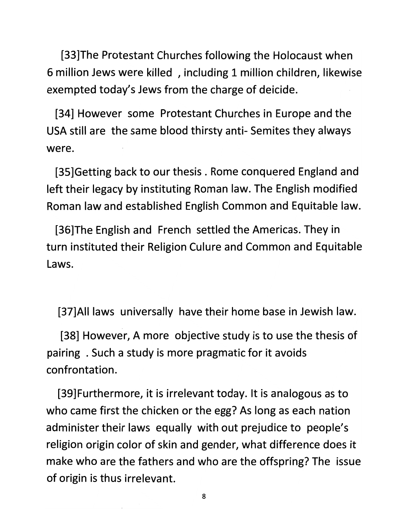*[33]The Protestant Churches following the Holocaust when 6 million Jews were killed , including 1 million children, likewise exempted today's Jews from the charge of deicide.*

*[34] However some Protestant Churches in Europe and the USA still are the same blood thirsty anti- Semites they always were.*

*[35]Getting back to our thesis . Rome conquered England and left their legacy by instituting Roman law. The English modified Roman law and established English Common and Equitable law.*

*[36]The English and French settled the Americas. They in turn instituted their Religion Culure and Common and Equitable Laws.*

*[37]AII laws universally have their home base in Jewish law.*

*[38] However, A more objective study is to use the thesis of pairing . Such a study is more pragmatic for it avoids confrontation.*

*[39]Furthermore, it is irrelevant today. It is analogous as to who came first the chicken or the egg? As long as each nation administer their laws equally with out prejudice to people's religion origin color of skin and gender, what difference does it make who are the fathers and who are the offspring? The issue of origin is thus irrelevant.*